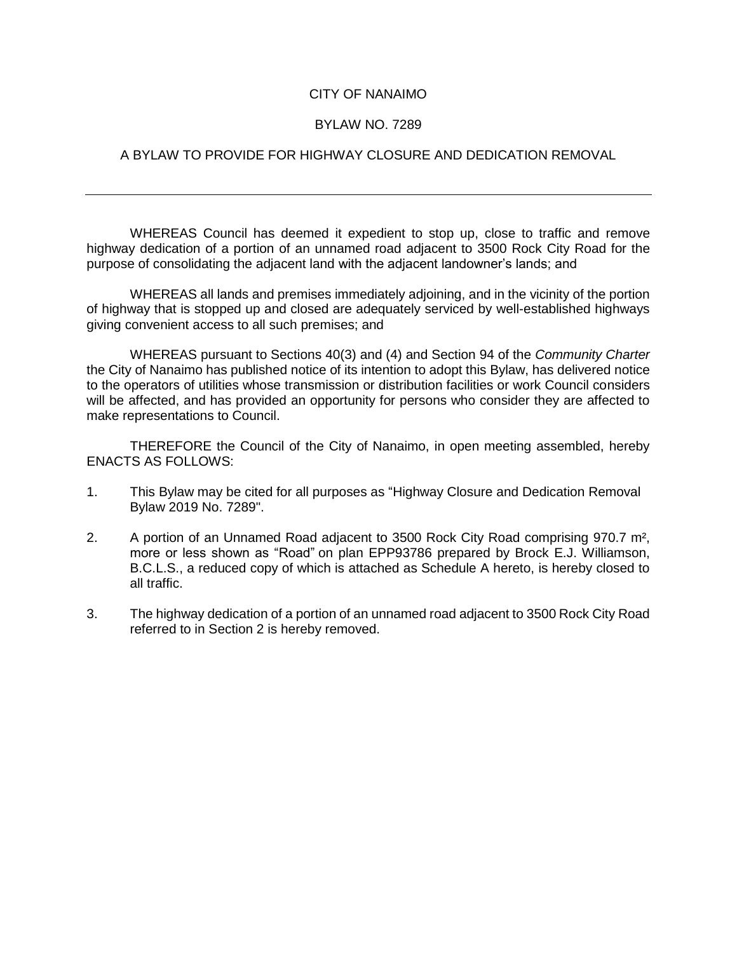## CITY OF NANAIMO

## BYLAW NO. 7289

## A BYLAW TO PROVIDE FOR HIGHWAY CLOSURE AND DEDICATION REMOVAL

WHEREAS Council has deemed it expedient to stop up, close to traffic and remove highway dedication of a portion of an unnamed road adjacent to 3500 Rock City Road for the purpose of consolidating the adjacent land with the adjacent landowner's lands; and

WHEREAS all lands and premises immediately adjoining, and in the vicinity of the portion of highway that is stopped up and closed are adequately serviced by well-established highways giving convenient access to all such premises; and

WHEREAS pursuant to Sections 40(3) and (4) and Section 94 of the *Community Charter* the City of Nanaimo has published notice of its intention to adopt this Bylaw, has delivered notice to the operators of utilities whose transmission or distribution facilities or work Council considers will be affected, and has provided an opportunity for persons who consider they are affected to make representations to Council.

THEREFORE the Council of the City of Nanaimo, in open meeting assembled, hereby ENACTS AS FOLLOWS:

- 1. This Bylaw may be cited for all purposes as "Highway Closure and Dedication Removal Bylaw 2019 No. 7289".
- 2. A portion of an Unnamed Road adjacent to 3500 Rock City Road comprising 970.7 m², more or less shown as "Road" on plan EPP93786 prepared by Brock E.J. Williamson, B.C.L.S., a reduced copy of which is attached as Schedule A hereto, is hereby closed to all traffic.
- 3. The highway dedication of a portion of an unnamed road adjacent to 3500 Rock City Road referred to in Section 2 is hereby removed.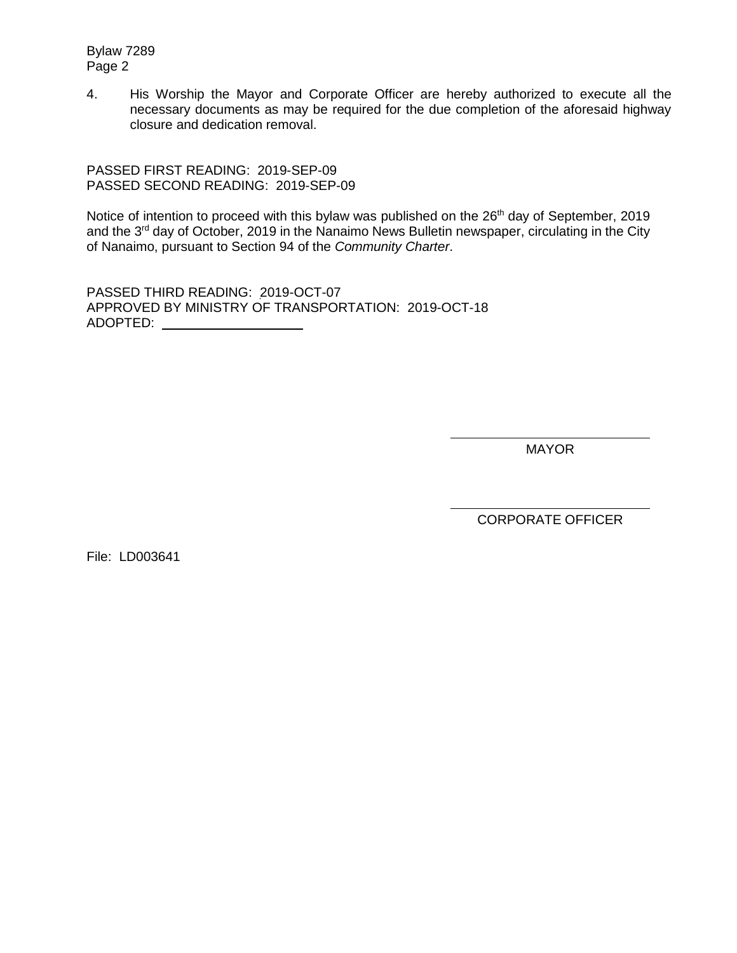Bylaw 7289 Page 2

4. His Worship the Mayor and Corporate Officer are hereby authorized to execute all the necessary documents as may be required for the due completion of the aforesaid highway closure and dedication removal.

PASSED FIRST READING: 2019-SEP-09 PASSED SECOND READING: 2019-SEP-09

Notice of intention to proceed with this bylaw was published on the 26<sup>th</sup> day of September, 2019 and the 3<sup>rd</sup> day of October, 2019 in the Nanaimo News Bulletin newspaper, circulating in the City of Nanaimo, pursuant to Section 94 of the *Community Charter*.

PASSED THIRD READING: 2019-OCT-07 APPROVED BY MINISTRY OF TRANSPORTATION: 2019-OCT-18 ADOPTED:

MAYOR

CORPORATE OFFICER

File: LD003641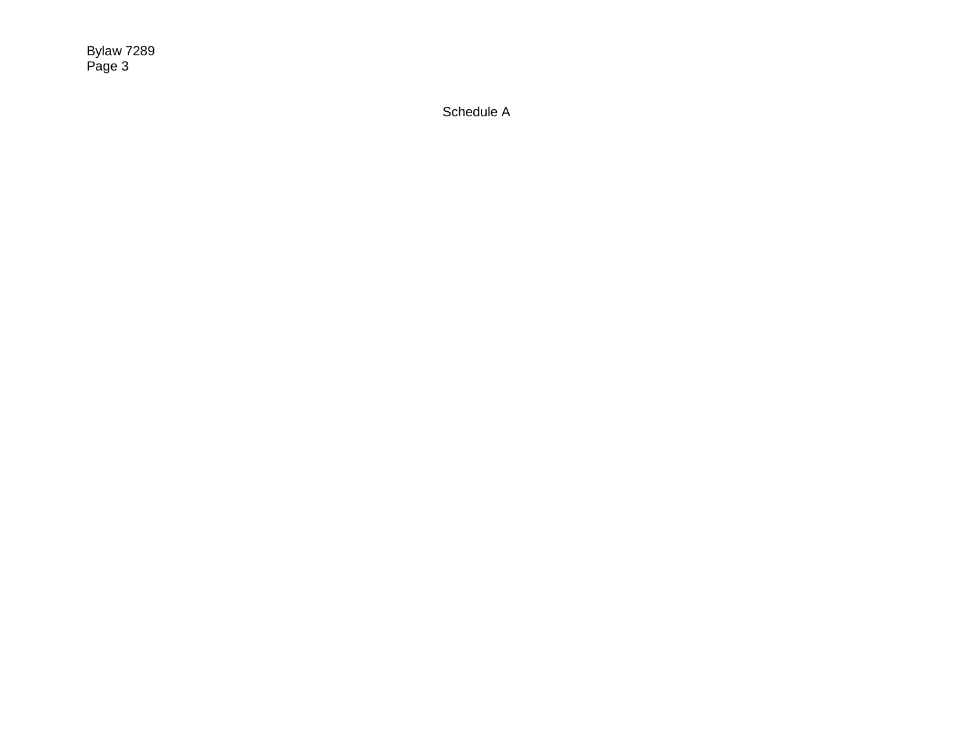Bylaw 7289 Page 3

Schedule A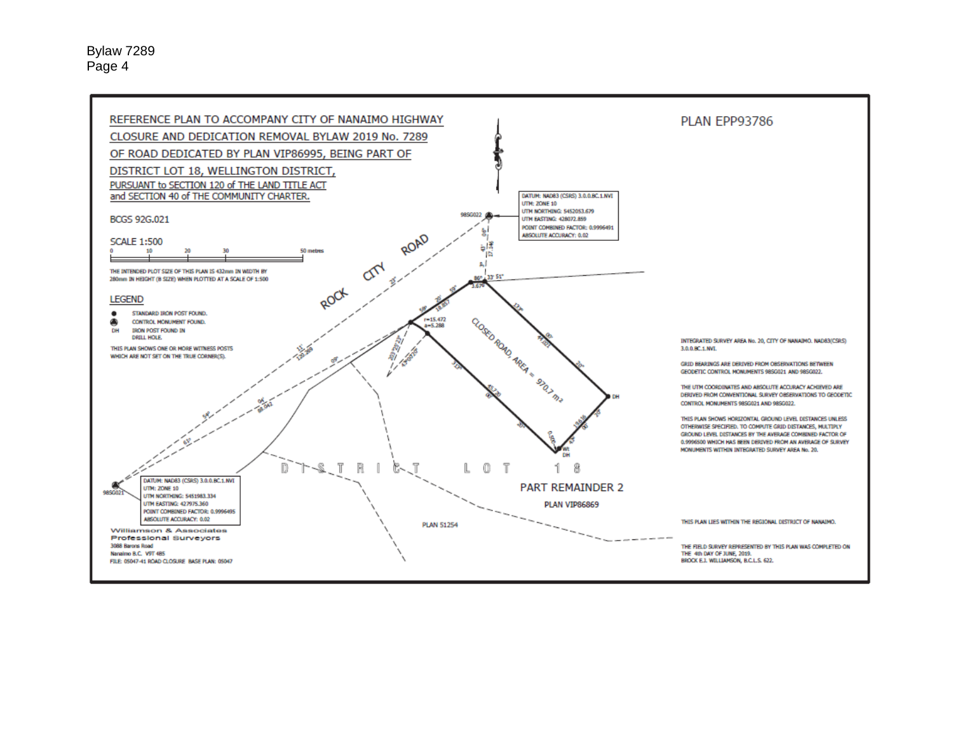